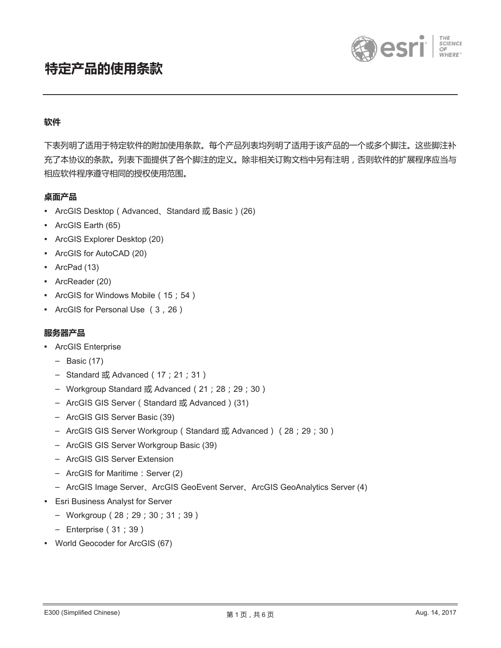



# **ѝ**

下表列明了适用于特定软件的附加使用条款。每个产品列表均列明了适用于该产品的一个或多个脚注。这些脚注补 充了本协议的条款。列表下面提供了各个脚注的定义。除非相关订购文档中另有注明,否则软件的扩展程序应当与 相应软件程序遵守相同的授权使用范围。

## 桌面产品

- ArcGIS Desktop (Advanced、Standard 或 Basic) (26)
- ͈ ArcGIS Earth (65)
- ͈ ArcGIS Explorer Desktop (20)
- ͈ ArcGIS for AutoCAD (20)
- ArcPad (13)
- ͈ ArcReader (20)
- ArcGIS for Windows Mobile (15; 54)
- ArcGIS for Personal Use (3, 26)

### 服务器产品

- ArcGIS Enterprise
	- $-$  Basic (17)
	- Standard  $\vec{B}$ , Advanced (17; 21; 31)
	- Workgroup Standard 或 Advanced (21; 28; 29; 30)
	- ArcGIS GIS Server (Standard 或 Advanced ) (31)
	- ArcGIS GIS Server Basic (39)
	- ArcGIS GIS Server Workgroup (Standard 或 Advanced) (28; 29; 30)
	- ArcGIS GIS Server Workgroup Basic (39)
	- ArcGIS GIS Server Extension
	- $-$  ArcGIS for Maritime : Server (2)
	- ArcGIS Image Server, ArcGIS GeoEvent Server, ArcGIS GeoAnalytics Server (4)
- **Esri Business Analyst for Server** 
	- Workgroup (28; 29; 30; 31; 39)
	- $-$  Enterprise (31; 39)
- ͈ World Geocoder for ArcGIS (67)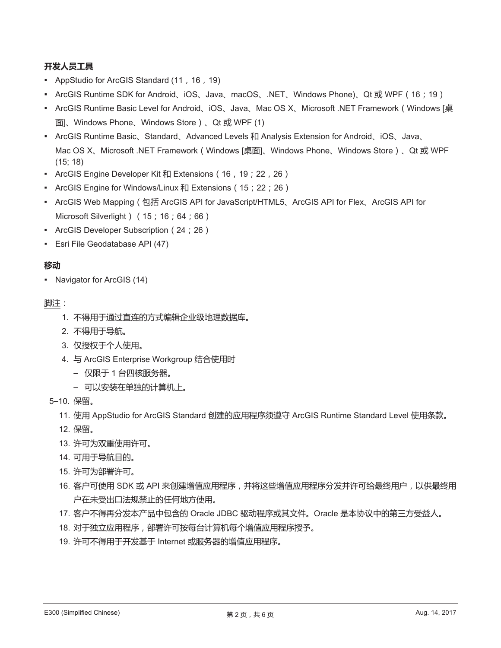# 开发人员工具

- AppStudio for ArcGIS Standard (11, 16, 19)
- ArcGIS Runtime SDK for Android、iOS、Java、macOS、.NET、Windows Phone)、Qt 或 WPF (16; 19)
- ArcGIS Runtime Basic Level for Android、iOS、Java、Mac OS X、Microsoft .NET Framework (Windows [桌 面]、Windows Phone、Windows Store)、Qt 或 WPF (1)
- ArcGIS Runtime Basic、Standard、Advanced Levels 和 Analysis Extension for Android、iOS、Java、 Mac OS X、Microsoft .NET Framework (Windows [桌面]、Windows Phone、Windows Store)、Qt 或 WPF  $(15; 18)$
- ArcGIS Engine Developer Kit 和 Extensions (16, 19; 22, 26)
- ArcGIS Engine for Windows/Linux 和 Extensions (15; 22; 26)
- ArcGIS Web Mapping (包括 ArcGIS API for JavaScript/HTML5、ArcGIS API for Flex、ArcGIS API for Microsoft Silverlight ) (15; 16; 64; 66)
- ArcGIS Developer Subscription (24; 26)
- Esri File Geodatabase API (47)

# 移动

• Navigator for ArcGIS (14)

## 脚注:

- 1. 不得用于通过直连的方式编辑企业级地理数据库。
- 2. 不得用于导航。
- 3. 仅授权于个人使用。
- 4. 与 ArcGIS Enterprise Workgroup 结合使用时
	- 仅限于1台四核服务器。
	- 可以安装在单独的计算机上。
- 5-10. 保留。
	- 11. 使用 AppStudio for ArcGIS Standard 创建的应用程序须遵守 ArcGIS Runtime Standard Level 使用条款。
	- 12. 保留。
	- 13. 许可为双重使用许可。
	- 14. 可用于导航目的。
	- 15. 许可为部署许可。
	- 16. 客户可使用 SDK 或 API 来创建增值应用程序,并将这些增值应用程序分发并许可给最终用户,以供最终用 户在未受出口法规禁止的任何地方使用。
	- 17. 客户不得再分发本产品中包含的 Oracle JDBC 驱动程序或其文件。Oracle 是本协议中的第三方受益人。
	- 18. 对于独立应用程序,部署许可按每台计算机每个增值应用程序授予。
	- 19. 许可不得用于开发基于 Internet 或服务器的增值应用程序。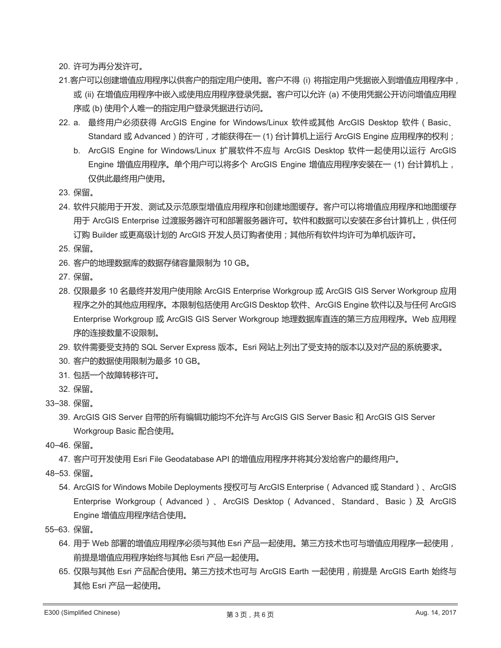20. 许可为再分发许可。

- 21.客户可以创建增值应用程序以供客户的指定用户使用。客户不得 (i) 将指定用户凭据嵌入到增值应用程序中, 或 (ii) 在增值应用程序中嵌入或使用应用程序登录凭据。客户可以允许 (a) 不使用凭据公开访问增值应用程 序或 (b) 使用个人唯一的指定用户登录凭据进行访问。
- 22. a. 最终用户必须获得 ArcGIS Engine for Windows/Linux 软件或其他 ArcGIS Desktop 软件 (Basic、 Standard 或 Advanced ) 的许可, 才能获得在一 (1) 台计算机上运行 ArcGIS Engine 应用程序的权利;
	- b. ArcGIS Engine for Windows/Linux 扩展软件不应与 ArcGIS Desktop 软件一起使用以运行 ArcGIS Engine 增值应用程序。单个用户可以将多个 ArcGIS Engine 增值应用程序安装在一 (1) 台计算机上, 仅供此最终用户使用。
- 23. 保留。
- 24. 软件只能用于开发、测试及示范原型增值应用程序和创建地图缓存。客户可以将增值应用程序和地图缓存 用于 ArcGIS Enterprise 过渡服务器许可和部署服务器许可。软件和数据可以安装在多台计算机上,供任何 订购 Builder 或更高级计划的 ArcGIS 开发人员订购者使用;其他所有软件均许可为单机版许可。
- 25. 保留。
- 26. 客户的地理数据库的数据存储容量限制为 10 GB。
- 27. 保留。
- 28. 仅限最多 10 名最终并发用户使用除 ArcGIS Enterprise Workgroup 或 ArcGIS GIS Server Workgroup 应用 程序之外的其他应用程序。本限制包括使用 ArcGIS Desktop 软件、ArcGIS Engine 软件以及与任何 ArcGIS Enterprise Workgroup 或 ArcGIS GIS Server Workgroup 地理数据库直连的第三方应用程序。Web 应用程 序的连接数量不设限制。
- 29. 软件需要受支持的 SQL Server Express 版本。Esri 网站上列出了受支持的版本以及对产品的系统要求。
- 30. 客户的数据使用限制为最多 10 GB。
- 31. 包括一个故障转移许可。
- 32. 保留。
- 33-38. 保留。
	- 39. ArcGIS GIS Server 自带的所有编辑功能均不允许与 ArcGIS GIS Server Basic 和 ArcGIS GIS Server Workgroup Basic 配合使用。
- 40-46. 保留。
	- 47. 客户可开发使用 Esri File Geodatabase API 的增值应用程序并将其分发给客户的最终用户。
- 48-53. 保留。
	- 54. ArcGIS for Windows Mobile Deployments 授权可与 ArcGIS Enterprise (Advanced 或 Standard)、ArcGIS Enterprise Workgroup (Advanced)、ArcGIS Desktop (Advanced、Standard、Basic)及 ArcGIS Engine 增值应用程序结合使用。
- 55-63. 保留。
	- 64. 用于 Web 部署的增值应用程序必须与其他 Esri 产品一起使用。第三方技术也可与增值应用程序一起使用, 前提是增值应用程序始终与其他 Esri 产品一起使用。
	- 65. 仅限与其他 Esri 产品配合使用。第三方技术也可与 ArcGIS Earth 一起使用, 前提是 ArcGIS Earth 始终与 其他 Esri 产品一起使用。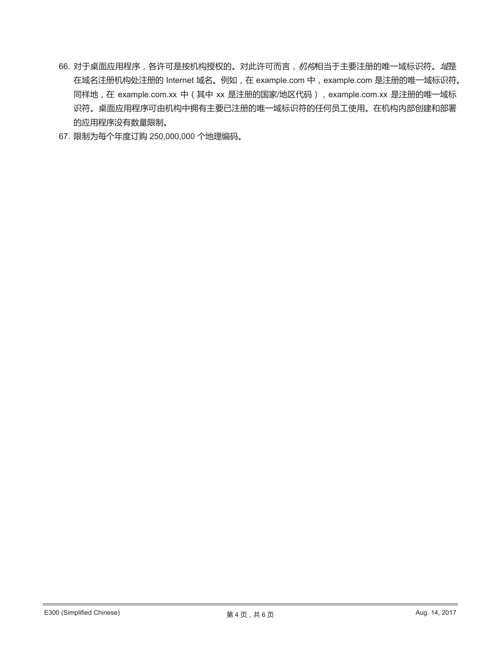- 66. 对于桌面应用程序, 各许可是按机构授权的。对此许可而言, 机构相当于主要注册的唯一域标识符。*域*是 在域名注册机构处注册的 Internet 域名。例如, 在 example.com 中, example.com 是注册的唯一域标识符。 同样地, 在 example.com.xx 中 ( 其中 xx 是注册的国家/地区代码 ), example.com.xx 是注册的唯一域标 识符。桌面应用程序可由机构中拥有主要已注册的唯一域标识符的任何员工使用。在机构内部创建和部署 的应用程序没有数量限制。
- 67. 限制为每个年度订购 250,000,000 个地理编码。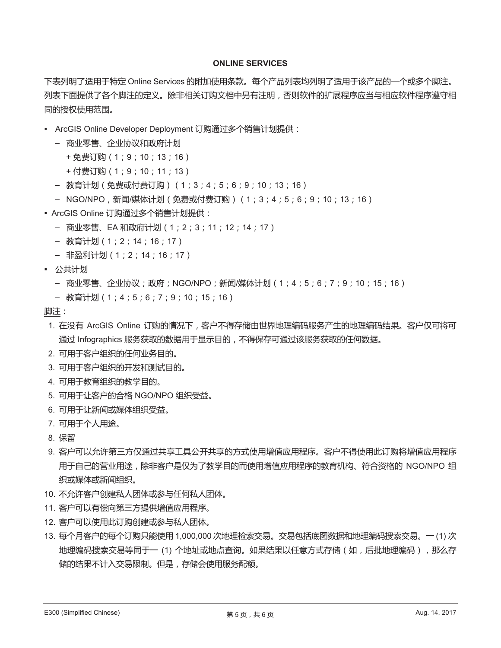#### **ONLINE SERVICES**

下表列明了适用于特定 Online Services 的附加使用条款。每个产品列表均列明了适用于该产品的一个或多个脚注。 列表下面提供了各个脚注的定义。除非相关订购文档中另有注明,否则软件的扩展程序应当与相应软件程序遵守相 同的授权使用范围。

- ArcGIS Online Developer Deployment 订购通过多个销售计划提供:
	- 商业零售、企业协议和政府计划
		- + 免费订购(1; 9; 10; 13; 16)
		- + 付费订购(1; 9; 10; 11; 13)
	- 教育计划 (免费或付费订购) (1;3;4;5;6;9;10;13;16)
	- NGO/NPO﹐新闻/媒体计划(免费或付费订购)(1;3;4;5;6;9;10;13;16)
- ArcGIS Online 订购通过多个销售计划提供:
	- 商业零售、EA 和政府计划 (1; 2; 3; 11; 12; 14; 17)
	- 教育计划(1;2;14;16;17)
	- 非盈利计划(1; 2; 14; 16; 17)
- 公共计划
	- 商业零售、企业协议;政府;NGO/NPO;新闻/媒体计划(1;4;5;6;7;9;10;15;16)
	- 教育计划(1;4;5;6;7;9;10;15;16)

脚注:

- 1. 在没有 ArcGIS Online 订购的情况下,客户不得存储由世界地理编码服务产生的地理编码结果。客户仅可将可 通过 Infographics 服务获取的数据用于显示目的,不得保存可通过该服务获取的任何数据。
- 2. 可用于客户组织的任何业务目的。
- 3. 可用于客户组织的开发和测试目的。
- 4. 可用于教育组织的教学目的。
- 5. 可用于让客户的合格 NGO/NPO 组织受益。
- 6. 可用于让新闻或媒体组织受益。
- 7. 可用于个人用途。
- 8. 保留
- 9. 客户可以允许第三方仅通过共享工具公开共享的方式使用增值应用程序。客户不得使用此订购将增值应用程序 用于自己的营业用途,除非客户是仅为了教学目的而使用增值应用程序的教育机构、符合资格的 NGO/NPO 组 织或媒体或新闻组织。
- 10. 不允许客户创建私人团体或参与任何私人团体。
- 11. 客户可以有偿向第三方提供增值应用程序。
- 12. 客户可以使用此订购创建或参与私人团体。
- 13. 每个月客户的每个订购只能使用 1,000,000 次地理检索交易。交易包括底图数据和地理编码搜索交易。一(1) 次 地理编码搜索交易等同于一 (1) 个地址或地点查询。如果结果以任意方式存储 ( 如, 后批地理编码 ) , 那么存 储的结果不计入交易限制。但是,存储会使用服务配额。